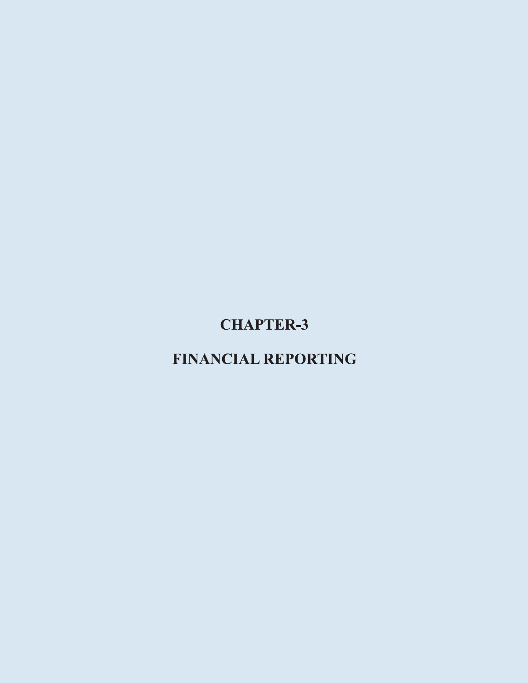# **CHAPTER-3**

## **FINANCIAL REPORTING**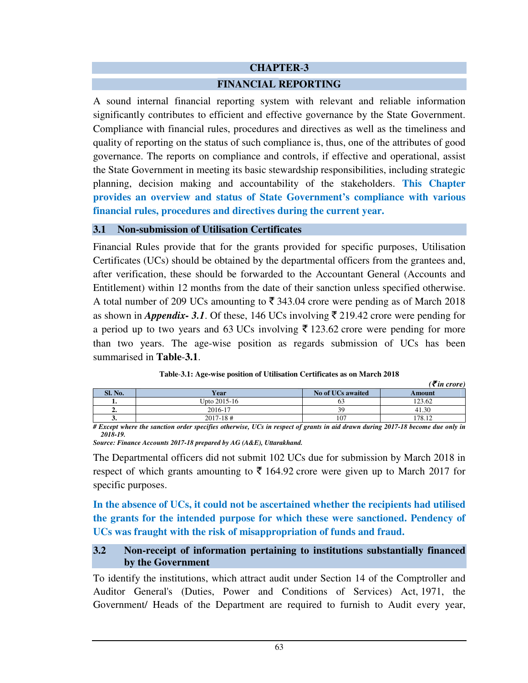#### **CHAPTER**-**3**

#### **FINANCIAL REPORTING**

A sound internal financial reporting system with relevant and reliable information significantly contributes to efficient and effective governance by the State Government. Compliance with financial rules, procedures and directives as well as the timeliness and quality of reporting on the status of such compliance is, thus, one of the attributes of good governance. The reports on compliance and controls, if effective and operational, assist the State Government in meeting its basic stewardship responsibilities, including strategic planning, decision making and accountability of the stakeholders. **This Chapter provides an overview and status of State Government's compliance with various financial rules, procedures and directives during the current year.** 

#### **3.1 Non-submission of Utilisation Certificates**

Financial Rules provide that for the grants provided for specific purposes, Utilisation Certificates (UCs) should be obtained by the departmental officers from the grantees and, after verification, these should be forwarded to the Accountant General (Accounts and Entitlement) within 12 months from the date of their sanction unless specified otherwise. A total number of 209 UCs amounting to  $\bar{\mathfrak{F}}$  343.04 crore were pending as of March 2018 as shown in *Appendix-* 3.1. Of these, 146 UCs involving  $\bar{\tau}$  219.42 crore were pending for a period up to two years and 63 UCs involving  $\bar{\tau}$  123.62 crore were pending for more than two years. The age-wise position as regards submission of UCs has been summarised in **Table**-**3.1**.

|          |                                             |                   | $( \bar{\mathbf{\mathcal{F}}}$ in crore) |
|----------|---------------------------------------------|-------------------|------------------------------------------|
| Sl. No.  | Year                                        | No of UCs awaited | Amount                                   |
|          | Upto 2015-16                                | υJ                | 123.62                                   |
| ٠.       | 2016-17                                     |                   | 41.30                                    |
| J.       | $2017 - 18$ #                               | 107               | 178.12                                   |
| $\cdots$ | $ -$<br>$\sim$<br>$\sim$<br>_____<br>$\sim$ | .                 | .                                        |

|  | Table-3.1: Age-wise position of Utilisation Certificates as on March 2018 |
|--|---------------------------------------------------------------------------|
|--|---------------------------------------------------------------------------|

*# Except where the sanction order specifies otherwise, UCs in respect of grants in aid drawn during 2017-18 become due only in 2018-19.* 

*Source: Finance Accounts 2017-18 prepared by AG (A&E), Uttarakhand.* 

The Departmental officers did not submit 102 UCs due for submission by March 2018 in respect of which grants amounting to  $\bar{\tau}$  164.92 crore were given up to March 2017 for specific purposes.

**In the absence of UCs, it could not be ascertained whether the recipients had utilised the grants for the intended purpose for which these were sanctioned. Pendency of UCs was fraught with the risk of misappropriation of funds and fraud.** 

## **3.2 Non-receipt of information pertaining to institutions substantially financed by the Government**

To identify the institutions, which attract audit under Section 14 of the Comptroller and Auditor General's (Duties, Power and Conditions of Services) Act, 1971, the Government/ Heads of the Department are required to furnish to Audit every year,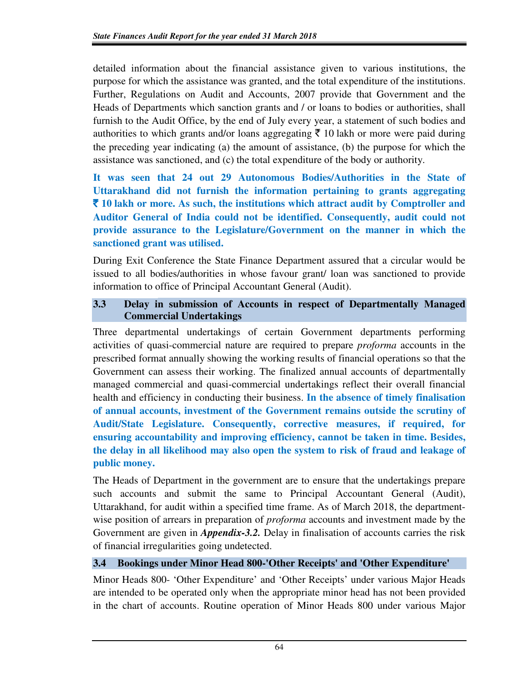detailed information about the financial assistance given to various institutions, the purpose for which the assistance was granted, and the total expenditure of the institutions. Further, Regulations on Audit and Accounts, 2007 provide that Government and the Heads of Departments which sanction grants and / or loans to bodies or authorities, shall furnish to the Audit Office, by the end of July every year, a statement of such bodies and authorities to which grants and/or loans aggregating  $\bar{\tau}$  10 lakh or more were paid during the preceding year indicating (a) the amount of assistance, (b) the purpose for which the assistance was sanctioned, and (c) the total expenditure of the body or authority.

**It was seen that 24 out 29 Autonomous Bodies/Authorities in the State of Uttarakhand did not furnish the information pertaining to grants aggregating**  ` **10 lakh or more. As such, the institutions which attract audit by Comptroller and Auditor General of India could not be identified. Consequently, audit could not provide assurance to the Legislature/Government on the manner in which the sanctioned grant was utilised.** 

During Exit Conference the State Finance Department assured that a circular would be issued to all bodies/authorities in whose favour grant/ loan was sanctioned to provide information to office of Principal Accountant General (Audit).

## **3.3 Delay in submission of Accounts in respect of Departmentally Managed Commercial Undertakings**

Three departmental undertakings of certain Government departments performing activities of quasi-commercial nature are required to prepare *proforma* accounts in the prescribed format annually showing the working results of financial operations so that the Government can assess their working. The finalized annual accounts of departmentally managed commercial and quasi-commercial undertakings reflect their overall financial health and efficiency in conducting their business. **In the absence of timely finalisation of annual accounts, investment of the Government remains outside the scrutiny of Audit/State Legislature. Consequently, corrective measures, if required, for ensuring accountability and improving efficiency, cannot be taken in time. Besides, the delay in all likelihood may also open the system to risk of fraud and leakage of public money.** 

The Heads of Department in the government are to ensure that the undertakings prepare such accounts and submit the same to Principal Accountant General (Audit), Uttarakhand, for audit within a specified time frame. As of March 2018, the departmentwise position of arrears in preparation of *proforma* accounts and investment made by the Government are given in *Appendix-3.2.* Delay in finalisation of accounts carries the risk of financial irregularities going undetected.

## **3.4 Bookings under Minor Head 800-'Other Receipts' and 'Other Expenditure'**

Minor Heads 800- 'Other Expenditure' and 'Other Receipts' under various Major Heads are intended to be operated only when the appropriate minor head has not been provided in the chart of accounts. Routine operation of Minor Heads 800 under various Major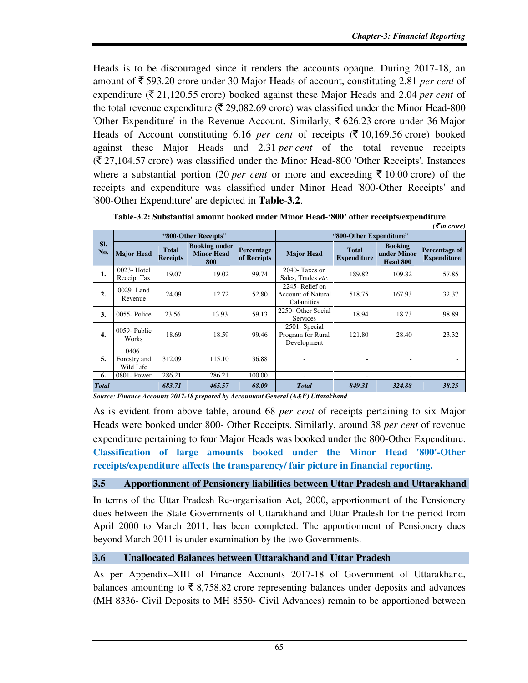Heads is to be discouraged since it renders the accounts opaque. During 2017-18, an amount of ` 593.20 crore under 30 Major Heads of account, constituting 2.81 *per cent* of expenditure ( $\bar{\tau}$  21,120.55 crore) booked against these Major Heads and 2.04 *per cent* of the total revenue expenditure ( $\overline{(} 29,082.69)$  crore) was classified under the Minor Head-800 'Other Expenditure' in the Revenue Account. Similarly,  $\bar{\xi}$  626.23 crore under 36 Major Heads of Account constituting 6.16 *per cent* of receipts  $(\overline{\tau} 10, 169.56$  crore) booked against these Major Heads and 2.31 *per cent* of the total revenue receipts  $(\bar{\mathcal{F}} 27,104.57$  crore) was classified under the Minor Head-800 'Other Receipts'. Instances where a substantial portion (20 *per cent* or more and exceeding  $\bar{\tau}$  10.00 crore) of the receipts and expenditure was classified under Minor Head '800-Other Receipts' and '800-Other Expenditure' are depicted in **Table**-**3.2**.

|              | $( \bar{\mathbf{z}}$ in crore)        |                                 |                                                  |                           |                                                             |                                    |                                           |                                            |
|--------------|---------------------------------------|---------------------------------|--------------------------------------------------|---------------------------|-------------------------------------------------------------|------------------------------------|-------------------------------------------|--------------------------------------------|
| SI.<br>No.   | "800-Other Receipts"                  |                                 |                                                  |                           | "800-Other Expenditure"                                     |                                    |                                           |                                            |
|              | <b>Major Head</b>                     | <b>Total</b><br><b>Receipts</b> | <b>Booking under</b><br><b>Minor Head</b><br>800 | Percentage<br>of Receipts | <b>Major Head</b>                                           | <b>Total</b><br><b>Expenditure</b> | <b>Booking</b><br>under Minor<br>Head 800 | <b>Percentage of</b><br><b>Expenditure</b> |
| 1.           | $0023$ -Hotel<br>Receipt Tax          | 19.07                           | 19.02                                            | 99.74                     | $2040$ - Taxes on<br>Sales. Trades etc.                     | 189.82                             | 109.82                                    | 57.85                                      |
| 2.           | $0029 -$ Land<br>Revenue              | 24.09                           | 12.72                                            | 52.80                     | 2245 - Relief on<br><b>Account of Natural</b><br>Calamities | 518.75                             | 167.93                                    | 32.37                                      |
| 3.           | $0055$ -Police                        | 23.56                           | 13.93                                            | 59.13                     | 2250- Other Social<br><b>Services</b>                       | 18.94                              | 18.73                                     | 98.89                                      |
| 4.           | 0059-Public<br>Works                  | 18.69                           | 18.59                                            | 99.46                     | 2501 - Special<br>Program for Rural<br>Development          | 121.80                             | 28.40                                     | 23.32                                      |
| 5.           | $0406 -$<br>Forestry and<br>Wild Life | 312.09                          | 115.10                                           | 36.88                     |                                                             |                                    | ۰                                         |                                            |
| 6.           | 0801- Power                           | 286.21                          | 286.21                                           | 100.00                    | ٠                                                           |                                    |                                           |                                            |
| <b>Total</b> |                                       | 683.71                          | 465.57                                           | 68.09                     | <b>Total</b>                                                | 849.31                             | 324.88                                    | 38.25                                      |

**Table**-**3.2: Substantial amount booked under Minor Head-'800' other receipts/expenditure**

*Source: Finance Accounts 2017-18 prepared by Accountant General (A&E) Uttarakhand.*

As is evident from above table, around 68 *per cent* of receipts pertaining to six Major Heads were booked under 800- Other Receipts. Similarly, around 38 *per cent* of revenue expenditure pertaining to four Major Heads was booked under the 800-Other Expenditure. **Classification of large amounts booked under the Minor Head '800'-Other receipts/expenditure affects the transparency/ fair picture in financial reporting.** 

#### **3.5 Apportionment of Pensionery liabilities between Uttar Pradesh and Uttarakhand**

In terms of the Uttar Pradesh Re-organisation Act, 2000, apportionment of the Pensionery dues between the State Governments of Uttarakhand and Uttar Pradesh for the period from April 2000 to March 2011, has been completed. The apportionment of Pensionery dues beyond March 2011 is under examination by the two Governments.

#### **3.6 Unallocated Balances between Uttarakhand and Uttar Pradesh**

As per Appendix–XIII of Finance Accounts 2017-18 of Government of Uttarakhand, balances amounting to  $\bar{\tau}$  8,758.82 crore representing balances under deposits and advances (MH 8336- Civil Deposits to MH 8550- Civil Advances) remain to be apportioned between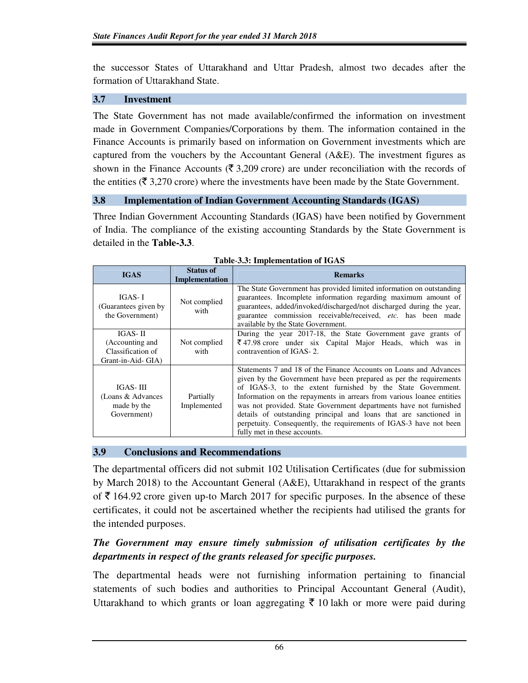the successor States of Uttarakhand and Uttar Pradesh, almost two decades after the formation of Uttarakhand State.

## **3.7 Investment**

The State Government has not made available/confirmed the information on investment made in Government Companies/Corporations by them. The information contained in the Finance Accounts is primarily based on information on Government investments which are captured from the vouchers by the Accountant General  $(A&E)$ . The investment figures as shown in the Finance Accounts ( $\bar{\xi}$  3,209 crore) are under reconciliation with the records of the entities ( $\bar{\tau}$  3,270 crore) where the investments have been made by the State Government.

#### **3.8 Implementation of Indian Government Accounting Standards (IGAS)**

Three Indian Government Accounting Standards (IGAS) have been notified by Government of India. The compliance of the existing accounting Standards by the State Government is detailed in the **Table-3.3**.

| <b>IGAS</b>                                                            | <b>Status of</b><br>Implementation | <b>Remarks</b>                                                                                                                                                                                                                                                                                                                                                                                                                                                                                                                  |
|------------------------------------------------------------------------|------------------------------------|---------------------------------------------------------------------------------------------------------------------------------------------------------------------------------------------------------------------------------------------------------------------------------------------------------------------------------------------------------------------------------------------------------------------------------------------------------------------------------------------------------------------------------|
| IGAS- I<br>(Guarantees given by)<br>the Government)                    | Not complied<br>with               | The State Government has provided limited information on outstanding<br>guarantees. Incomplete information regarding maximum amount of<br>guarantees, added/invoked/discharged/not discharged during the year,<br>guarantee commission receivable/received, etc. has been made<br>available by the State Government.                                                                                                                                                                                                            |
| IGAS- II<br>(Accounting and<br>Classification of<br>Grant-in-Aid- GIA) | Not complied<br>with               | During the year 2017-18, the State Government gave grants of<br>$\overline{\xi}$ 47.98 crore under six Capital Major Heads, which was in<br>contravention of IGAS-2.                                                                                                                                                                                                                                                                                                                                                            |
| IGAS-III<br>(Loans & Advances)<br>made by the<br>Government)           | Partially<br>Implemented           | Statements 7 and 18 of the Finance Accounts on Loans and Advances<br>given by the Government have been prepared as per the requirements<br>of IGAS-3, to the extent furnished by the State Government.<br>Information on the repayments in arrears from various loanee entities<br>was not provided. State Government departments have not furnished<br>details of outstanding principal and loans that are sanctioned in<br>perpetuity. Consequently, the requirements of IGAS-3 have not been<br>fully met in these accounts. |

**Table**-**3.3: Implementation of IGAS**

## **3.9 Conclusions and Recommendations**

The departmental officers did not submit 102 Utilisation Certificates (due for submission by March 2018) to the Accountant General (A&E), Uttarakhand in respect of the grants of  $\bar{\tau}$  164.92 crore given up-to March 2017 for specific purposes. In the absence of these certificates, it could not be ascertained whether the recipients had utilised the grants for the intended purposes.

## *The Government may ensure timely submission of utilisation certificates by the departments in respect of the grants released for specific purposes.*

The departmental heads were not furnishing information pertaining to financial statements of such bodies and authorities to Principal Accountant General (Audit), Uttarakhand to which grants or loan aggregating  $\bar{\tau}$  10 lakh or more were paid during